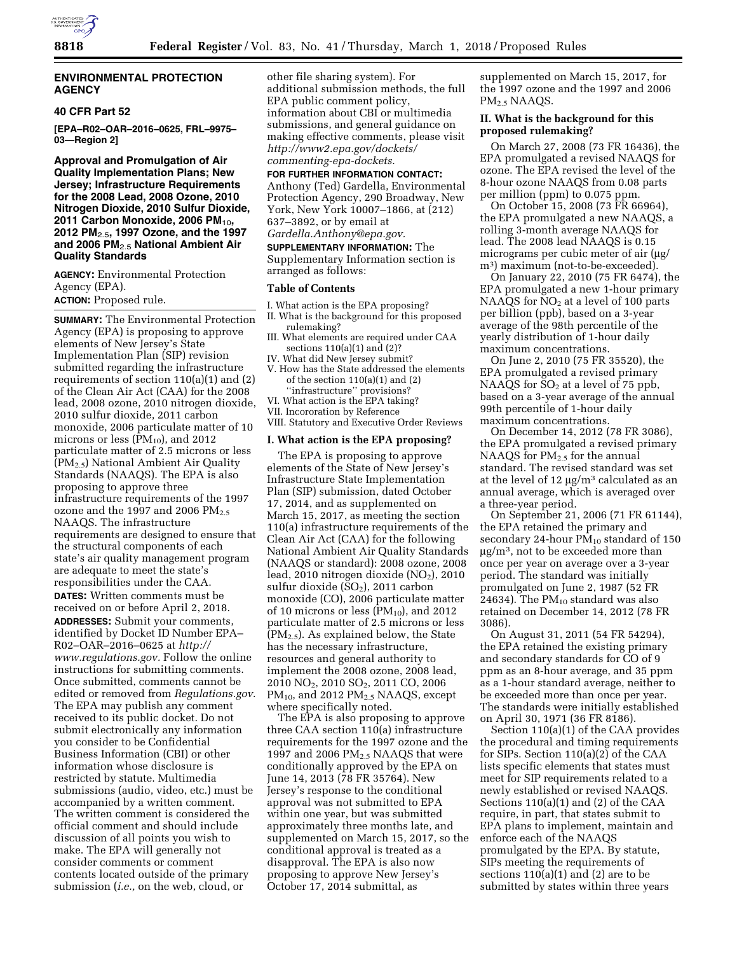

## **ENVIRONMENTAL PROTECTION AGENCY**

## **40 CFR Part 52**

**[EPA–R02–OAR–2016–0625, FRL–9975– 03—Region 2]** 

**Approval and Promulgation of Air Quality Implementation Plans; New Jersey; Infrastructure Requirements for the 2008 Lead, 2008 Ozone, 2010 Nitrogen Dioxide, 2010 Sulfur Dioxide, 2011 Carbon Monoxide, 2006 PM**10**, 2012 PM**2.5**, 1997 Ozone, and the 1997 and 2006 PM**2.5 **National Ambient Air Quality Standards** 

**AGENCY:** Environmental Protection Agency (EPA).

**ACTION:** Proposed rule.

**SUMMARY:** The Environmental Protection Agency (EPA) is proposing to approve elements of New Jersey's State Implementation Plan (SIP) revision submitted regarding the infrastructure requirements of section 110(a)(1) and (2) of the Clean Air Act (CAA) for the 2008 lead, 2008 ozone, 2010 nitrogen dioxide, 2010 sulfur dioxide, 2011 carbon monoxide, 2006 particulate matter of 10 microns or less  $(PM_{10})$ , and 2012 particulate matter of 2.5 microns or less (PM2.5) National Ambient Air Quality Standards (NAAQS). The EPA is also proposing to approve three infrastructure requirements of the 1997 ozone and the 1997 and 2006  $PM_{2.5}$ NAAQS. The infrastructure requirements are designed to ensure that the structural components of each state's air quality management program are adequate to meet the state's responsibilities under the CAA. **DATES:** Written comments must be received on or before April 2, 2018. **ADDRESSES:** Submit your comments, identified by Docket ID Number EPA– R02–OAR–2016–0625 at *[http://](http://www.regulations.gov) [www.regulations.gov.](http://www.regulations.gov)* Follow the online instructions for submitting comments. Once submitted, comments cannot be edited or removed from *Regulations.gov*. The EPA may publish any comment received to its public docket. Do not submit electronically any information you consider to be Confidential Business Information (CBI) or other information whose disclosure is restricted by statute. Multimedia submissions (audio, video, etc.) must be accompanied by a written comment. The written comment is considered the official comment and should include discussion of all points you wish to make. The EPA will generally not consider comments or comment contents located outside of the primary submission (*i.e.,* on the web, cloud, or

other file sharing system). For additional submission methods, the full EPA public comment policy, information about CBI or multimedia submissions, and general guidance on making effective comments, please visit *[http://www2.epa.gov/dockets/](http://www2.epa.gov/dockets/commenting-epa-dockets)  [commenting-epa-dockets.](http://www2.epa.gov/dockets/commenting-epa-dockets)* 

# **FOR FURTHER INFORMATION CONTACT:**

Anthony (Ted) Gardella, Environmental Protection Agency, 290 Broadway, New York, New York 10007–1866, at (212) 637–3892, or by email at *[Gardella.Anthony@epa.gov.](mailto:Gardella.Anthony@epa.gov)* 

**SUPPLEMENTARY INFORMATION:** The Supplementary Information section is arranged as follows:

#### **Table of Contents**

- I. What action is the EPA proposing?
- II. What is the background for this proposed rulemaking?
- What elements are required under CAA sections 110(a)(1) and (2)?
- IV. What did New Jersey submit?
- V. How has the State addressed the elements of the section  $110(a)(1)$  and  $(2)$ ''infrastructure'' provisions?
- VI. What action is the EPA taking?
- VII. Incororation by Reference
- VIII. Statutory and Executive Order Reviews

#### **I. What action is the EPA proposing?**

The EPA is proposing to approve elements of the State of New Jersey's Infrastructure State Implementation Plan (SIP) submission, dated October 17, 2014, and as supplemented on March 15, 2017, as meeting the section 110(a) infrastructure requirements of the Clean Air Act (CAA) for the following National Ambient Air Quality Standards (NAAQS or standard): 2008 ozone, 2008 lead, 2010 nitrogen dioxide  $NO<sub>2</sub>$ ), 2010 sulfur dioxide  $(SO<sub>2</sub>)$ , 2011 carbon monoxide (CO), 2006 particulate matter of 10 microns or less  $(PM_{10})$ , and 2012 particulate matter of 2.5 microns or less  $(PM<sub>2.5</sub>)$ . As explained below, the State has the necessary infrastructure, resources and general authority to implement the 2008 ozone, 2008 lead, 2010 NO2, 2010 SO2, 2011 CO, 2006  $PM_{10}$ , and 2012  $PM_{2.5}$  NAAQS, except where specifically noted.

The EPA is also proposing to approve three CAA section 110(a) infrastructure requirements for the 1997 ozone and the 1997 and 2006  $PM<sub>2.5</sub> NAAQS$  that were conditionally approved by the EPA on June 14, 2013 (78 FR 35764). New Jersey's response to the conditional approval was not submitted to EPA within one year, but was submitted approximately three months late, and supplemented on March 15, 2017, so the conditional approval is treated as a disapproval. The EPA is also now proposing to approve New Jersey's October 17, 2014 submittal, as

supplemented on March 15, 2017, for the 1997 ozone and the 1997 and 2006 PM2.5 NAAQS.

# **II. What is the background for this proposed rulemaking?**

On March 27, 2008 (73 FR 16436), the EPA promulgated a revised NAAQS for ozone. The EPA revised the level of the 8-hour ozone NAAQS from 0.08 parts per million (ppm) to 0.075 ppm.

On October 15, 2008 (73 FR 66964), the EPA promulgated a new NAAQS, a rolling 3-month average NAAQS for lead. The 2008 lead NAAQS is 0.15 micrograms per cubic meter of air  $\mu$ g/ m3) maximum (not-to-be-exceeded).

On January 22, 2010 (75 FR 6474), the EPA promulgated a new 1-hour primary NAAQS for NO<sub>2</sub> at a level of 100 parts per billion (ppb), based on a 3-year average of the 98th percentile of the yearly distribution of 1-hour daily maximum concentrations.

On June 2, 2010 (75 FR 35520), the EPA promulgated a revised primary NAAQS for  $SO<sub>2</sub>$  at a level of 75 ppb, based on a 3-year average of the annual 99th percentile of 1-hour daily maximum concentrations.

On December 14, 2012 (78 FR 3086), the EPA promulgated a revised primary NAAQS for  $PM<sub>2.5</sub>$  for the annual standard. The revised standard was set at the level of 12  $\mu$ g/m<sup>3</sup> calculated as an annual average, which is averaged over a three-year period.

On September 21, 2006 (71 FR 61144), the EPA retained the primary and secondary 24-hour  $PM_{10}$  standard of 150  $\mu$ g/m<sup>3</sup>, not to be exceeded more than once per year on average over a 3-year period. The standard was initially promulgated on June 2, 1987 (52 FR 24634). The  $PM_{10}$  standard was also retained on December 14, 2012 (78 FR 3086).

On August 31, 2011 (54 FR 54294), the EPA retained the existing primary and secondary standards for CO of 9 ppm as an 8-hour average, and 35 ppm as a 1-hour standard average, neither to be exceeded more than once per year. The standards were initially established on April 30, 1971 (36 FR 8186).

Section 110(a)(1) of the CAA provides the procedural and timing requirements for SIPs. Section 110(a)(2) of the CAA lists specific elements that states must meet for SIP requirements related to a newly established or revised NAAQS. Sections 110(a)(1) and (2) of the CAA require, in part, that states submit to EPA plans to implement, maintain and enforce each of the NAAQS promulgated by the EPA. By statute, SIPs meeting the requirements of sections 110(a)(1) and (2) are to be submitted by states within three years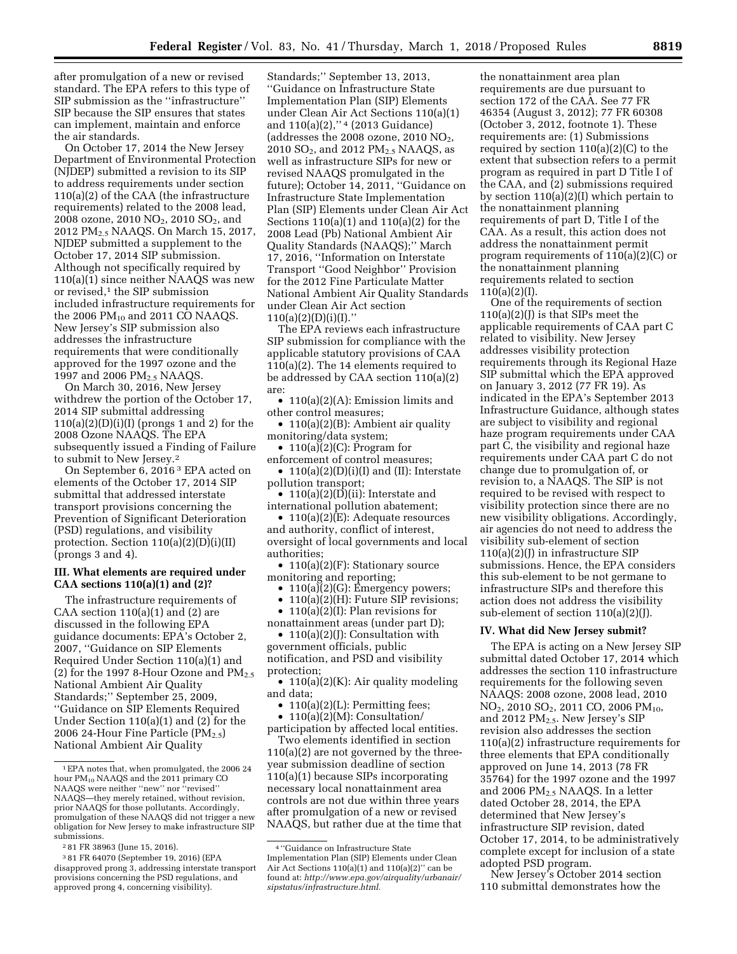after promulgation of a new or revised standard. The EPA refers to this type of SIP submission as the ''infrastructure'' SIP because the SIP ensures that states can implement, maintain and enforce the air standards.

On October 17, 2014 the New Jersey Department of Environmental Protection (NJDEP) submitted a revision to its SIP to address requirements under section 110(a)(2) of the CAA (the infrastructure requirements) related to the 2008 lead, 2008 ozone, 2010 NO<sub>2</sub>, 2010 SO<sub>2</sub>, and 2012 PM2.5 NAAQS. On March 15, 2017, NJDEP submitted a supplement to the October 17, 2014 SIP submission. Although not specifically required by 110(a)(1) since neither NAAQS was new or revised,<sup>1</sup> the SIP submission included infrastructure requirements for the 2006  $PM_{10}$  and 2011 CO NAAQS. New Jersey's SIP submission also addresses the infrastructure requirements that were conditionally approved for the 1997 ozone and the 1997 and 2006 PM<sub>2.5</sub> NAAQS.

On March 30, 2016, New Jersey withdrew the portion of the October 17, 2014 SIP submittal addressing  $110(a)(2)(D)(i)(I)$  (prongs 1 and 2) for the 2008 Ozone NAAQS. The EPA subsequently issued a Finding of Failure to submit to New Jersey.2

On September 6, 2016 3 EPA acted on elements of the October 17, 2014 SIP submittal that addressed interstate transport provisions concerning the Prevention of Significant Deterioration (PSD) regulations, and visibility protection. Section 110(a)(2)(D)(i)(II) (prongs 3 and 4).

### **III. What elements are required under CAA sections 110(a)(1) and (2)?**

The infrastructure requirements of CAA section 110(a)(1) and (2) are discussed in the following EPA guidance documents: EPA's October 2, 2007, ''Guidance on SIP Elements Required Under Section 110(a)(1) and (2) for the 1997 8-Hour Ozone and  $PM_{2.5}$ National Ambient Air Quality Standards;'' September 25, 2009, ''Guidance on SIP Elements Required Under Section 110(a)(1) and (2) for the 2006 24-Hour Fine Particle  $(PM_{2.5})$ National Ambient Air Quality

Standards;'' September 13, 2013, ''Guidance on Infrastructure State Implementation Plan (SIP) Elements under Clean Air Act Sections 110(a)(1) and 110(a)(2),"<sup>4</sup> (2013 Guidance) (addresses the 2008 ozone, 2010  $NO<sub>2</sub>$ , 2010 SO2, and 2012 PM2.5 NAAQS, as well as infrastructure SIPs for new or revised NAAQS promulgated in the future); October 14, 2011, ''Guidance on Infrastructure State Implementation Plan (SIP) Elements under Clean Air Act Sections 110(a)(1) and 110(a)(2) for the 2008 Lead (Pb) National Ambient Air Quality Standards (NAAQS);'' March 17, 2016, ''Information on Interstate Transport ''Good Neighbor'' Provision for the 2012 Fine Particulate Matter National Ambient Air Quality Standards under Clean Air Act section  $110(a)(2)(D)(i)(I).'$ 

The EPA reviews each infrastructure SIP submission for compliance with the applicable statutory provisions of CAA 110(a)(2). The 14 elements required to be addressed by CAA section 110(a)(2) are:

• 110(a)(2)(A): Emission limits and other control measures;

• 110(a)(2)(B): Ambient air quality monitoring/data system;

• 110(a) $(2)$ (C): Program for enforcement of control measures;

• 110(a)(2)(D)(i)(I) and (II): Interstate pollution transport;

• 110(a)(2)( $\overline{D}$ )(ii): Interstate and international pollution abatement;

• 110(a)(2)(E): Adequate resources and authority, conflict of interest, oversight of local governments and local authorities;

• 110(a)(2)(F): Stationary source monitoring and reporting;

•  $110(a)(2)(G)$ : Emergency powers;

• 110(a)(2)(H): Future SIP revisions;

• 110(a)(2)(I): Plan revisions for nonattainment areas (under part D);

• 110(a)(2)(J): Consultation with government officials, public notification, and PSD and visibility protection;

• 110(a)(2)(K): Air quality modeling and data;

•  $110(a)(2)(L)$ : Permitting fees;

• 110(a)(2)(M): Consultation/ participation by affected local entities.

Two elements identified in section 110(a)(2) are not governed by the threeyear submission deadline of section 110(a)(1) because SIPs incorporating necessary local nonattainment area controls are not due within three years after promulgation of a new or revised NAAQS, but rather due at the time that

the nonattainment area plan requirements are due pursuant to section 172 of the CAA. See 77 FR 46354 (August 3, 2012); 77 FR 60308 (October 3, 2012, footnote 1). These requirements are: (1) Submissions required by section  $110(a)(2)(C)$  to the extent that subsection refers to a permit program as required in part D Title I of the CAA, and (2) submissions required by section 110(a)(2)(I) which pertain to the nonattainment planning requirements of part D, Title I of the CAA. As a result, this action does not address the nonattainment permit program requirements of 110(a)(2)(C) or the nonattainment planning requirements related to section 110(a)(2)(I).

One of the requirements of section  $110(a)(2)(1)$  is that SIPs meet the applicable requirements of CAA part C related to visibility. New Jersey addresses visibility protection requirements through its Regional Haze SIP submittal which the EPA approved on January 3, 2012 (77 FR 19). As indicated in the EPA's September 2013 Infrastructure Guidance, although states are subject to visibility and regional haze program requirements under CAA part C, the visibility and regional haze requirements under CAA part C do not change due to promulgation of, or revision to, a NAAQS. The SIP is not required to be revised with respect to visibility protection since there are no new visibility obligations. Accordingly, air agencies do not need to address the visibility sub-element of section 110(a)(2)(J) in infrastructure SIP submissions. Hence, the EPA considers this sub-element to be not germane to infrastructure SIPs and therefore this action does not address the visibility sub-element of section 110(a)(2)(J).

### **IV. What did New Jersey submit?**

The EPA is acting on a New Jersey SIP submittal dated October 17, 2014 which addresses the section 110 infrastructure requirements for the following seven NAAQS: 2008 ozone, 2008 lead, 2010 NO<sub>2</sub>, 2010 SO<sub>2</sub>, 2011 CO, 2006 PM<sub>10</sub>, and 2012  $PM<sub>2.5</sub>$ . New Jersey's SIP revision also addresses the section 110(a)(2) infrastructure requirements for three elements that EPA conditionally approved on June 14, 2013 (78 FR 35764) for the 1997 ozone and the 1997 and 2006 PM2.5 NAAQS. In a letter dated October 28, 2014, the EPA determined that New Jersey's infrastructure SIP revision, dated October 17, 2014, to be administratively complete except for inclusion of a state adopted PSD program.

New Jersey's October 2014 section 110 submittal demonstrates how the

<sup>1</sup>EPA notes that, when promulgated, the 2006 24 hour PM<sub>10</sub> NAAQS and the 2011 primary CO NAAQS were neither ''new'' nor ''revised'' NAAQS—they merely retained, without revision, prior NAAQS for those pollutants. Accordingly, promulgation of these NAAQS did not trigger a new obligation for New Jersey to make infrastructure SIP submissions.

<sup>2</sup> 81 FR 38963 (June 15, 2016).

<sup>3</sup> 81 FR 64070 (September 19, 2016) (EPA disapproved prong 3, addressing interstate transport provisions concerning the PSD regulations, and approved prong 4, concerning visibility).

<sup>4</sup> ''Guidance on Infrastructure State Implementation Plan (SIP) Elements under Clean Air Act Sections 110(a)(1) and 110(a)(2)'' can be found at: *[http://www.epa.gov/airquality/urbanair/](http://www.epa.gov/airquality/urbanair/sipstatus/infrastructure.html) [sipstatus/infrastructure.html.](http://www.epa.gov/airquality/urbanair/sipstatus/infrastructure.html)*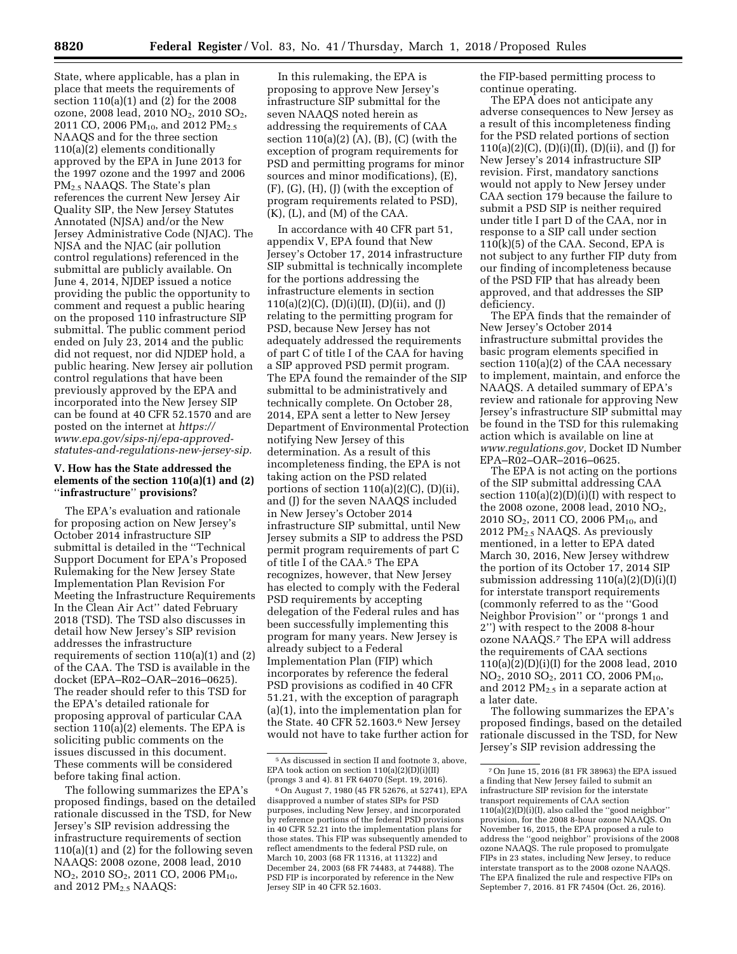State, where applicable, has a plan in place that meets the requirements of section 110(a)(1) and (2) for the 2008 ozone, 2008 lead, 2010 NO2, 2010 SO2, 2011 CO, 2006 PM<sub>10</sub>, and 2012 PM<sub>2.5</sub> NAAQS and for the three section 110(a)(2) elements conditionally approved by the EPA in June 2013 for the 1997 ozone and the 1997 and 2006 PM2.5 NAAQS. The State's plan references the current New Jersey Air Quality SIP, the New Jersey Statutes Annotated (NJSA) and/or the New Jersey Administrative Code (NJAC). The NJSA and the NJAC (air pollution control regulations) referenced in the submittal are publicly available. On June 4, 2014, NJDEP issued a notice providing the public the opportunity to comment and request a public hearing on the proposed 110 infrastructure SIP submittal. The public comment period ended on July 23, 2014 and the public did not request, nor did NJDEP hold, a public hearing. New Jersey air pollution control regulations that have been previously approved by the EPA and incorporated into the New Jersey SIP can be found at 40 CFR 52.1570 and are posted on the internet at *[https://](https://www.epa.gov/sips-nj/epa-approved-statutes-and-regulations-new-jersey-sip) [www.epa.gov/sips-nj/epa-approved](https://www.epa.gov/sips-nj/epa-approved-statutes-and-regulations-new-jersey-sip)[statutes-and-regulations-new-jersey-sip.](https://www.epa.gov/sips-nj/epa-approved-statutes-and-regulations-new-jersey-sip)* 

### **V. How has the State addressed the elements of the section 110(a)(1) and (2)**  ''**infrastructure**'' **provisions?**

The EPA's evaluation and rationale for proposing action on New Jersey's October 2014 infrastructure SIP submittal is detailed in the ''Technical Support Document for EPA's Proposed Rulemaking for the New Jersey State Implementation Plan Revision For Meeting the Infrastructure Requirements In the Clean Air Act'' dated February 2018 (TSD). The TSD also discusses in detail how New Jersey's SIP revision addresses the infrastructure requirements of section 110(a)(1) and (2) of the CAA. The TSD is available in the docket (EPA–R02–OAR–2016–0625). The reader should refer to this TSD for the EPA's detailed rationale for proposing approval of particular CAA section 110(a)(2) elements. The EPA is soliciting public comments on the issues discussed in this document. These comments will be considered before taking final action.

The following summarizes the EPA's proposed findings, based on the detailed rationale discussed in the TSD, for New Jersey's SIP revision addressing the infrastructure requirements of section 110(a)(1) and (2) for the following seven NAAQS: 2008 ozone, 2008 lead, 2010 NO<sub>2</sub>, 2010 SO<sub>2</sub>, 2011 CO, 2006 PM<sub>10</sub>, and 2012 PM<sub>2.5</sub> NAAQS:

In this rulemaking, the EPA is proposing to approve New Jersey's infrastructure SIP submittal for the seven NAAQS noted herein as addressing the requirements of CAA section  $110(a)(2)$  (A), (B), (C) (with the exception of program requirements for PSD and permitting programs for minor sources and minor modifications), (E), (F), (G), (H), (J) (with the exception of program requirements related to PSD), (K), (L), and (M) of the CAA.

In accordance with 40 CFR part 51, appendix V, EPA found that New Jersey's October 17, 2014 infrastructure SIP submittal is technically incomplete for the portions addressing the infrastructure elements in section  $110(a)(2)(C)$ ,  $(D)(i)(II)$ ,  $(D)(ii)$ , and  $(J)$ relating to the permitting program for PSD, because New Jersey has not adequately addressed the requirements of part C of title I of the CAA for having a SIP approved PSD permit program. The EPA found the remainder of the SIP submittal to be administratively and technically complete. On October 28, 2014, EPA sent a letter to New Jersey Department of Environmental Protection notifying New Jersey of this determination. As a result of this incompleteness finding, the EPA is not taking action on the PSD related portions of section 110(a)(2)(C), (D)(ii), and (J) for the seven NAAQS included in New Jersey's October 2014 infrastructure SIP submittal, until New Jersey submits a SIP to address the PSD permit program requirements of part C of title I of the CAA.5 The EPA recognizes, however, that New Jersey has elected to comply with the Federal PSD requirements by accepting delegation of the Federal rules and has been successfully implementing this program for many years. New Jersey is already subject to a Federal Implementation Plan (FIP) which incorporates by reference the federal PSD provisions as codified in 40 CFR 51.21, with the exception of paragraph (a)(1), into the implementation plan for the State. 40 CFR 52.1603.6 New Jersey would not have to take further action for

the FIP-based permitting process to continue operating.

The EPA does not anticipate any adverse consequences to New Jersey as a result of this incompleteness finding for the PSD related portions of section 110(a)(2)(C), (D)(i)(II), (D)(ii), and (J) for New Jersey's 2014 infrastructure SIP revision. First, mandatory sanctions would not apply to New Jersey under CAA section 179 because the failure to submit a PSD SIP is neither required under title I part D of the CAA, nor in response to a SIP call under section 110(k)(5) of the CAA. Second, EPA is not subject to any further FIP duty from our finding of incompleteness because of the PSD FIP that has already been approved, and that addresses the SIP deficiency.

The EPA finds that the remainder of New Jersey's October 2014 infrastructure submittal provides the basic program elements specified in section 110(a)(2) of the CAA necessary to implement, maintain, and enforce the NAAQS. A detailed summary of EPA's review and rationale for approving New Jersey's infrastructure SIP submittal may be found in the TSD for this rulemaking action which is available on line at *[www.regulations.gov,](http://www.regulations.gov)* Docket ID Number EPA–R02–OAR–2016–0625.

The EPA is not acting on the portions of the SIP submittal addressing CAA section  $110(a)(2)(D)(i)(I)$  with respect to the 2008 ozone, 2008 lead, 2010  $NO<sub>2</sub>$ , 2010 SO<sub>2</sub>, 2011 CO, 2006 PM<sub>10</sub>, and 2012 PM2.5 NAAQS. As previously mentioned, in a letter to EPA dated March 30, 2016, New Jersey withdrew the portion of its October 17, 2014 SIP submission addressing 110(a)(2)(D)(i)(I) for interstate transport requirements (commonly referred to as the ''Good Neighbor Provision'' or ''prongs 1 and 2'') with respect to the 2008 8-hour ozone NAAQS.7 The EPA will address the requirements of CAA sections 110(a)(2)(D)(i)(I) for the 2008 lead, 2010 NO<sub>2</sub>, 2010 SO<sub>2</sub>, 2011 CO, 2006 PM<sub>10</sub>, and 2012  $PM<sub>2.5</sub>$  in a separate action at a later date.

The following summarizes the EPA's proposed findings, based on the detailed rationale discussed in the TSD, for New Jersey's SIP revision addressing the

<sup>5</sup>As discussed in section II and footnote 3, above, EPA took action on section 110(a)(2)(D)(i)(II) (prongs 3 and 4). 81 FR 64070 (Sept. 19, 2016).

<sup>6</sup>On August 7, 1980 (45 FR 52676, at 52741), EPA disapproved a number of states SIPs for PSD purposes, including New Jersey, and incorporated by reference portions of the federal PSD provisions in 40 CFR 52.21 into the implementation plans for those states. This FIP was subsequently amended to reflect amendments to the federal PSD rule, on March 10, 2003 (68 FR 11316, at 11322) and December 24, 2003 (68 FR 74483, at 74488). The PSD FIP is incorporated by reference in the New Jersey SIP in 40 CFR 52.1603.

<sup>7</sup>On June 15, 2016 (81 FR 38963) the EPA issued a finding that New Jersey failed to submit an infrastructure SIP revision for the interstate transport requirements of CAA section 110(a)(2)(D)(i)(I), also called the ''good neighbor'' provision, for the 2008 8-hour ozone NAAQS. On November 16, 2015, the EPA proposed a rule to address the ''good neighbor'' provisions of the 2008 ozone NAAQS. The rule proposed to promulgate FIPs in 23 states, including New Jersey, to reduce interstate transport as to the 2008 ozone NAAQS. The EPA finalized the rule and respective FIPs on September 7, 2016. 81 FR 74504 (Oct. 26, 2016).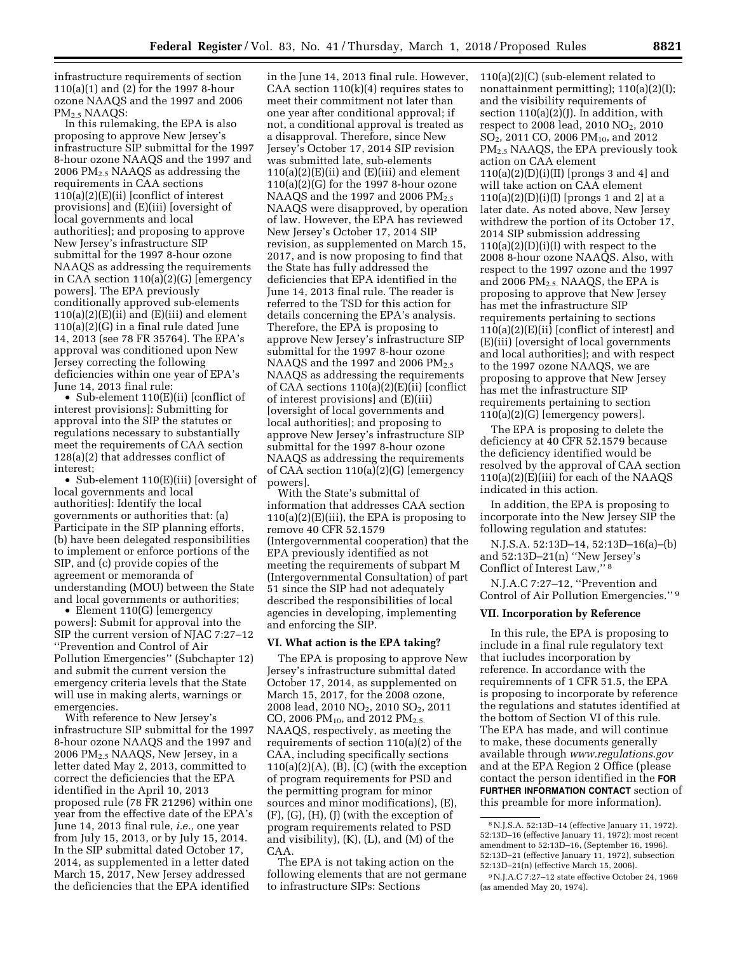infrastructure requirements of section 110(a)(1) and (2) for the 1997 8-hour ozone NAAQS and the 1997 and 2006 PM2.5 NAAQS:

In this rulemaking, the EPA is also proposing to approve New Jersey's infrastructure SIP submittal for the 1997 8-hour ozone NAAQS and the 1997 and 2006  $PM<sub>2.5</sub> NAAQS$  as addressing the requirements in CAA sections  $110(a)(2)(E)(ii)$  [conflict of interest] provisions] and (E)(iii) [oversight of local governments and local authorities]; and proposing to approve New Jersey's infrastructure SIP submittal for the 1997 8-hour ozone NAAQS as addressing the requirements in CAA section 110(a)(2)(G) [emergency powers]. The EPA previously conditionally approved sub-elements  $110(a)(2)(E)(ii)$  and  $(E)(iii)$  and element 110(a)(2)(G) in a final rule dated June 14, 2013 (see 78 FR 35764). The EPA's approval was conditioned upon New Jersey correcting the following deficiencies within one year of EPA's June 14, 2013 final rule:

• Sub-element 110(E)(ii) [conflict of interest provisions]: Submitting for approval into the SIP the statutes or regulations necessary to substantially meet the requirements of CAA section 128(a)(2) that addresses conflict of interest;

• Sub-element 110(E)(iii) [oversight of local governments and local authorities]: Identify the local governments or authorities that: (a) Participate in the SIP planning efforts, (b) have been delegated responsibilities to implement or enforce portions of the SIP, and (c) provide copies of the agreement or memoranda of understanding (MOU) between the State and local governments or authorities;

• Element 110(G) [emergency powers]: Submit for approval into the SIP the current version of NJAC 7:27–12 ''Prevention and Control of Air Pollution Emergencies'' (Subchapter 12) and submit the current version the emergency criteria levels that the State will use in making alerts, warnings or emergencies.

With reference to New Jersey's infrastructure SIP submittal for the 1997 8-hour ozone NAAQS and the 1997 and 2006 PM2.5 NAAQS, New Jersey, in a letter dated May 2, 2013, committed to correct the deficiencies that the EPA identified in the April 10, 2013 proposed rule (78 FR 21296) within one year from the effective date of the EPA's June 14, 2013 final rule, *i.e.,* one year from July 15, 2013, or by July 15, 2014. In the SIP submittal dated October 17, 2014, as supplemented in a letter dated March 15, 2017, New Jersey addressed the deficiencies that the EPA identified

in the June 14, 2013 final rule. However, CAA section  $110(k)(4)$  requires states to meet their commitment not later than one year after conditional approval; if not, a conditional approval is treated as a disapproval. Therefore, since New Jersey's October 17, 2014 SIP revision was submitted late, sub-elements  $110(a)(2)(E)(ii)$  and  $(E)(iii)$  and element 110(a)(2)(G) for the 1997 8-hour ozone NAAQS and the 1997 and 2006 PM<sub>2.5</sub> NAAQS were disapproved, by operation of law. However, the EPA has reviewed New Jersey's October 17, 2014 SIP revision, as supplemented on March 15, 2017, and is now proposing to find that the State has fully addressed the deficiencies that EPA identified in the June 14, 2013 final rule. The reader is referred to the TSD for this action for details concerning the EPA's analysis. Therefore, the EPA is proposing to approve New Jersey's infrastructure SIP submittal for the 1997 8-hour ozone NAAQS and the 1997 and 2006 PM<sub>2.5</sub> NAAQS as addressing the requirements of CAA sections 110(a)(2)(E)(ii) [conflict of interest provisions] and (E)(iii) [oversight of local governments and local authorities]; and proposing to approve New Jersey's infrastructure SIP submittal for the 1997 8-hour ozone NAAQS as addressing the requirements of CAA section 110(a)(2)(G) [emergency powers].

With the State's submittal of information that addresses CAA section  $110(a)(2)(E)(iii)$ , the EPA is proposing to remove 40 CFR 52.1579 (Intergovernmental cooperation) that the EPA previously identified as not meeting the requirements of subpart M (Intergovernmental Consultation) of part 51 since the SIP had not adequately described the responsibilities of local agencies in developing, implementing and enforcing the SIP.

### **VI. What action is the EPA taking?**

The EPA is proposing to approve New Jersey's infrastructure submittal dated October 17, 2014, as supplemented on March 15, 2017, for the 2008 ozone, 2008 lead, 2010 NO<sub>2</sub>, 2010 SO<sub>2</sub>, 2011 CO, 2006 PM<sub>10</sub>, and 2012 PM<sub>2.5.</sub> NAAQS, respectively, as meeting the requirements of section 110(a)(2) of the CAA, including specifically sections  $110(a)(2)(A)$ ,  $(B)$ ,  $(C)$  (with the exception of program requirements for PSD and the permitting program for minor sources and minor modifications), (E), (F), (G), (H), (J) (with the exception of program requirements related to PSD and visibility), (K), (L), and (M) of the CAA.

The EPA is not taking action on the following elements that are not germane to infrastructure SIPs: Sections

110(a)(2)(C) (sub-element related to nonattainment permitting); 110(a)(2)(I); and the visibility requirements of section  $110(a)(2)(J)$ . In addition, with respect to 2008 lead, 2010 NO<sub>2</sub>, 2010 SO<sub>2</sub>, 2011 CO, 2006 PM<sub>10</sub>, and 2012 PM2.5 NAAQS, the EPA previously took action on CAA element  $110(a)(2)(D)(i)(II)$  [prongs 3 and 4] and will take action on CAA element 110(a)(2)(D)(i)(I) [prongs 1 and 2] at a later date. As noted above, New Jersey withdrew the portion of its October 17, 2014 SIP submission addressing  $110(a)(2)(D)(i)(I)$  with respect to the 2008 8-hour ozone NAAQS. Also, with respect to the 1997 ozone and the 1997 and 2006  $PM<sub>2.5</sub>$ . NAAQS, the EPA is proposing to approve that New Jersey has met the infrastructure SIP requirements pertaining to sections 110(a)(2)(E)(ii) [conflict of interest] and (E)(iii) [oversight of local governments and local authorities]; and with respect to the 1997 ozone NAAQS, we are proposing to approve that New Jersey has met the infrastructure SIP requirements pertaining to section 110(a)(2)(G) [emergency powers].

The EPA is proposing to delete the deficiency at 40 CFR 52.1579 because the deficiency identified would be resolved by the approval of CAA section  $110(a)(2)(E)(iii)$  for each of the NAAQS indicated in this action.

In addition, the EPA is proposing to incorporate into the New Jersey SIP the following regulation and statutes:

N.J.S.A. 52:13D–14, 52:13D–16(a)–(b) and 52:13D–21(n) ''New Jersey's Conflict of Interest Law,'' 8

N.J.A.C 7:27–12, ''Prevention and Control of Air Pollution Emergencies.'' 9

## **VII. Incorporation by Reference**

In this rule, the EPA is proposing to include in a final rule regulatory text that iucludes incorporation by reference. In accordance with the requiremnents of 1 CFR 51.5, the EPA is proposing to incorporate by reference the regulations and statutes identified at the bottom of Section VI of this rule. The EPA has made, and will continue to make, these documents generally available through *[www.regulations.gov](http://www.regulations.gov)*  and at the EPA Region 2 Office (please contact the person identified in the **FOR FURTHER INFORMATION CONTACT** section of this preamble for more information).

<sup>8</sup>N.J.S.A. 52:13D–14 (effective January 11, 1972). 52:13D–16 (effective January 11, 1972); most recent amendment to 52:13D–16, (September 16, 1996). 52:13D–21 (effective January 11, 1972), subsection 52:13D–21(n) (effective March 15, 2006).

<sup>9</sup>N.J.A.C 7:27–12 state effective October 24, 1969 (as amended May 20, 1974).